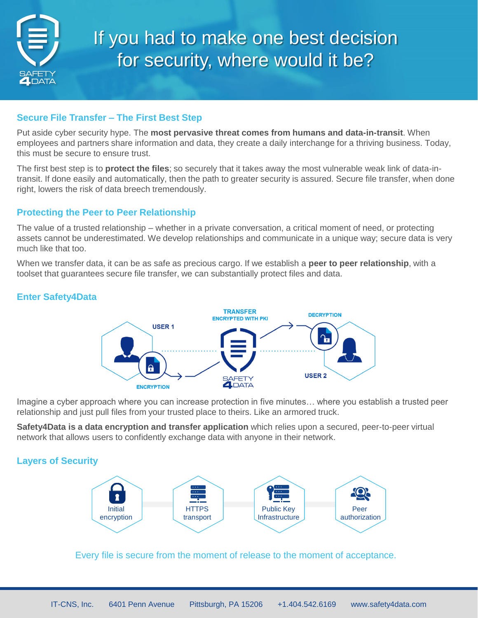

# If you had to make one best decision for security, where would it be?

# **Secure File Transfer – The First Best Step**

Put aside cyber security hype. The **most pervasive threat comes from humans and data-in-transit**. When employees and partners share information and data, they create a daily interchange for a thriving business. Today, this must be secure to ensure trust.

The first best step is to **protect the files**; so securely that it takes away the most vulnerable weak link of data-intransit. If done easily and automatically, then the path to greater security is assured. Secure file transfer, when done right, lowers the risk of data breech tremendously.

# **Protecting the Peer to Peer Relationship**

The value of a trusted relationship – whether in a private conversation, a critical moment of need, or protecting assets cannot be underestimated. We develop relationships and communicate in a unique way; secure data is very much like that too.

When we transfer data, it can be as safe as precious cargo. If we establish a **peer to peer relationship**, with a toolset that guarantees secure file transfer, we can substantially protect files and data.

# **Enter Safety4Data**



Imagine a cyber approach where you can increase protection in five minutes… where you establish a trusted peer relationship and just pull files from your trusted place to theirs. Like an armored truck.

**Safety4Data is a data encryption and transfer application** which relies upon a secured, peer-to-peer virtual network that allows users to confidently exchange data with anyone in their network.

# **Layers of Security**



Every file is secure from the moment of release to the moment of acceptance.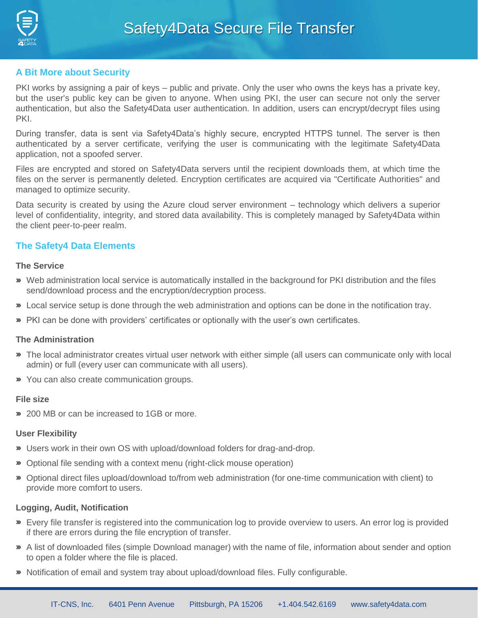

## **A Bit More about Security**

PKI works by assigning a pair of keys – public and private. Only the user who owns the keys has a private key, but the user's public key can be given to anyone. When using PKI, the user can secure not only the server authentication, but also the Safety4Data user authentication. In addition, users can encrypt/decrypt files using PKI.

During transfer, data is sent via Safety4Data's highly secure, encrypted HTTPS tunnel. The server is then authenticated by a server certificate, verifying the user is communicating with the legitimate Safety4Data application, not a spoofed server.

Files are encrypted and stored on Safety4Data servers until the recipient downloads them, at which time the files on the server is permanently deleted. Encryption certificates are acquired via "Certificate Authorities" and managed to optimize security.

Data security is created by using the Azure cloud server environment – technology which delivers a superior level of confidentiality, integrity, and stored data availability. This is completely managed by Safety4Data within the client peer-to-peer realm.

## **The Safety4 Data Elements**

#### **The Service**

- Web administration local service is automatically installed in the background for PKI distribution and the files send/download process and the encryption/decryption process.
- Local service setup is done through the web administration and options can be done in the notification tray.
- PKI can be done with providers' certificates or optionally with the user's own certificates.

#### **The Administration**

- The local administrator creates virtual user network with either simple (all users can communicate only with local admin) or full (every user can communicate with all users).
- You can also create communication groups.

#### **File size**

200 MB or can be increased to 1GB or more.

#### **User Flexibility**

- Users work in their own OS with upload/download folders for drag-and-drop.
- Optional file sending with a context menu (right-click mouse operation)
- Optional direct files upload/download to/from web administration (for one-time communication with client) to provide more comfort to users.

#### **Logging, Audit, Notification**

- Every file transfer is registered into the communication log to provide overview to users. An error log is provided if there are errors during the file encryption of transfer.
- A list of downloaded files (simple Download manager) with the name of file, information about sender and option to open a folder where the file is placed.
- Notification of email and system tray about upload/download files. Fully configurable.